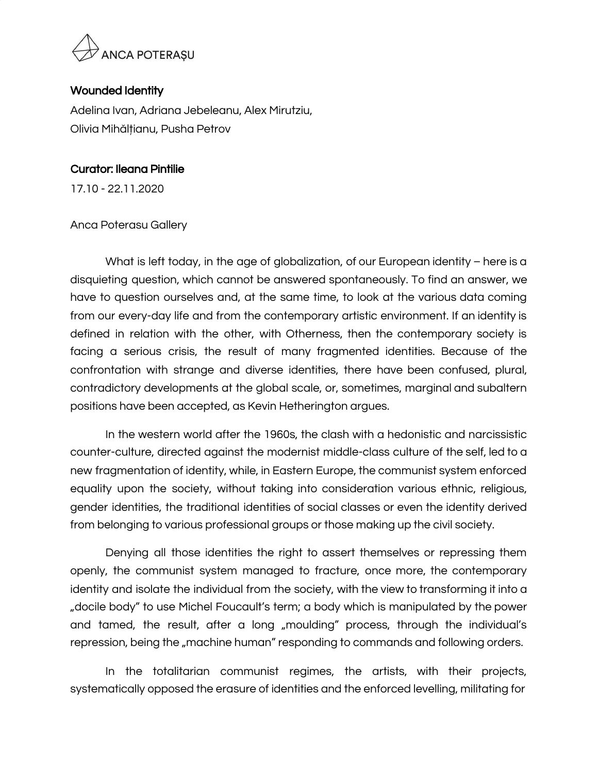

## Wounded Identity

Adelina Ivan, Adriana Jebeleanu, Alex Mirutziu, Olivia Mihălțianu, Pusha Petrov

## Curator: Ileana Pintilie

17.10 - 22.11.2020

## Anca Poterasu Gallery

What is left today, in the age of globalization, of our European identity – here is a disquieting question, which cannot be answered spontaneously. To find an answer, we have to question ourselves and, at the same time, to look at the various data coming from our every-day life and from the contemporary artistic environment. If an identity is defined in relation with the other, with Otherness, then the contemporary society is facing a serious crisis, the result of many fragmented identities. Because of the confrontation with strange and diverse identities, there have been confused, plural, contradictory developments at the global scale, or, sometimes, marginal and subaltern positions have been accepted, as Kevin Hetherington argues.

In the western world after the 1960s, the clash with a hedonistic and narcissistic counter-culture, directed against the modernist middle-class culture of the self, led to a new fragmentation of identity, while, in Eastern Europe, the communist system enforced equality upon the society, without taking into consideration various ethnic, religious, gender identities, the traditional identities of social classes or even the identity derived from belonging to various professional groups or those making up the civil society.

Denying all those identities the right to assert themselves or repressing them openly, the communist system managed to fracture, once more, the contemporary identity and isolate the individual from the society, with the view to transforming it into a "docile body" to use Michel Foucault's term; a body which is manipulated by the power and tamed, the result, after a long "moulding" process, through the individual's repression, being the "machine human" responding to commands and following orders.

In the totalitarian communist regimes, the artists, with their projects, systematically opposed the erasure of identities and the enforced levelling, militating for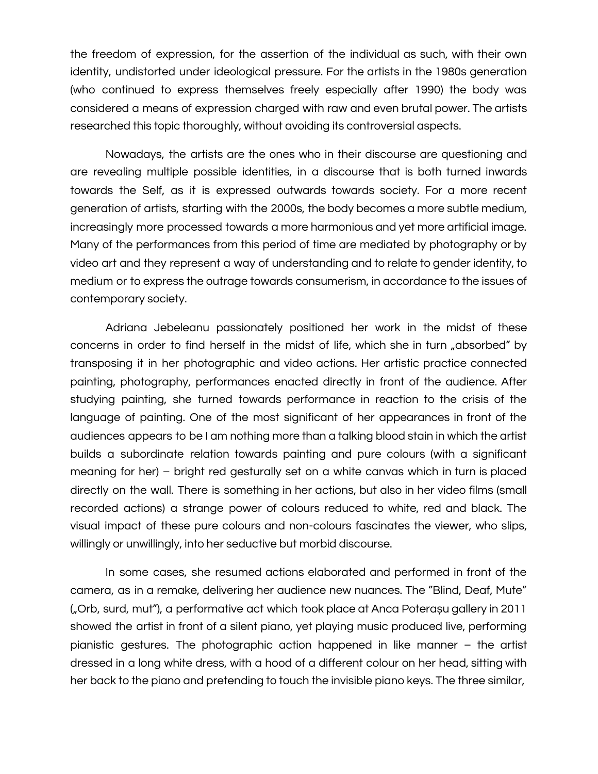the freedom of expression, for the assertion of the individual as such, with their own identity, undistorted under ideological pressure. For the artists in the 1980s generation (who continued to express themselves freely especially after 1990) the body was considered a means of expression charged with raw and even brutal power. The artists researched this topic thoroughly, without avoiding its controversial aspects.

Nowadays, the artists are the ones who in their discourse are questioning and are revealing multiple possible identities, in a discourse that is both turned inwards towards the Self, as it is expressed outwards towards society. For a more recent generation of artists, starting with the 2000s, the body becomes a more subtle medium, increasingly more processed towards a more harmonious and yet more artificial image. Many of the performances from this period of time are mediated by photography or by video art and they represent a way of understanding and to relate to gender identity, to medium or to express the outrage towards consumerism, in accordance to the issues of contemporary society.

Adriana Jebeleanu passionately positioned her work in the midst of these concerns in order to find herself in the midst of life, which she in turn "absorbed" by transposing it in her photographic and video actions. Her artistic practice connected painting, photography, performances enacted directly in front of the audience. After studying painting, she turned towards performance in reaction to the crisis of the language of painting. One of the most significant of her appearances in front of the audiences appears to be I am nothing more than a talking blood stain in which the artist builds a subordinate relation towards painting and pure colours (with a significant meaning for her) – bright red gesturally set on a white canvas which in turn is placed directly on the wall. There is something in her actions, but also in her video films (small recorded actions) a strange power of colours reduced to white, red and black. The visual impact of these pure colours and non-colours fascinates the viewer, who slips, willingly or unwillingly, into her seductive but morbid discourse.

In some cases, she resumed actions elaborated and performed in front of the camera, as in a remake, delivering her audience new nuances. The "Blind, Deaf, Mute" ("Orb, surd, mut"), a performative act which took place at Anca Poterașu gallery in 2011 showed the artist in front of a silent piano, yet playing music produced live, performing pianistic gestures. The photographic action happened in like manner – the artist dressed in a long white dress, with a hood of a different colour on her head, sitting with her back to the piano and pretending to touch the invisible piano keys. The three similar,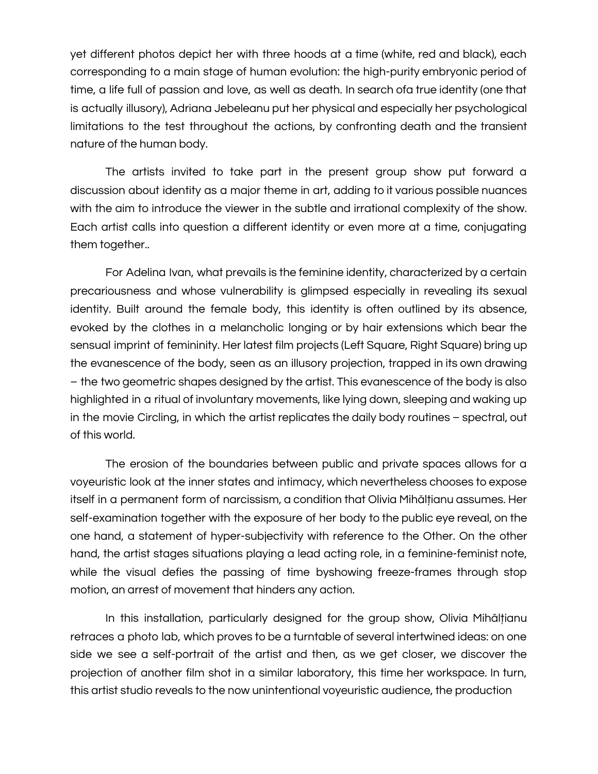yet different photos depict her with three hoods at a time (white, red and black), each corresponding to a main stage of human evolution: the high-purity embryonic period of time, a life full of passion and love, as well as death. In search ofa true identity (one that is actually illusory), Adriana Jebeleanu put her physical and especially her psychological limitations to the test throughout the actions, by confronting death and the transient nature of the human body.

The artists invited to take part in the present group show put forward a discussion about identity as a major theme in art, adding to it various possible nuances with the aim to introduce the viewer in the subtle and irrational complexity of the show. Each artist calls into question a different identity or even more at a time, conjugating them together..

For Adelina Ivan, what prevails is the feminine identity, characterized by a certain precariousness and whose vulnerability is glimpsed especially in revealing its sexual identity. Built around the female body, this identity is often outlined by its absence, evoked by the clothes in a melancholic longing or by hair extensions which bear the sensual imprint of femininity. Her latest film projects (Left Square, Right Square) bring up the evanescence of the body, seen as an illusory projection, trapped in its own drawing – the two geometric shapes designed by the artist. This evanescence of the body is also highlighted in a ritual of involuntary movements, like lying down, sleeping and waking up in the movie Circling, in which the artist replicates the daily body routines – spectral, out of this world.

The erosion of the boundaries between public and private spaces allows for a voyeuristic look at the inner states and intimacy, which nevertheless chooses to expose itself in a permanent form of narcissism, a condition that Olivia Mihălțianu assumes. Her self-examination together with the exposure of her body to the public eye reveal, on the one hand, a statement of hyper-subjectivity with reference to the Other. On the other hand, the artist stages situations playing a lead acting role, in a feminine-feminist note, while the visual defies the passing of time byshowing freeze-frames through stop motion, an arrest of movement that hinders any action.

In this installation, particularly designed for the group show, Olivia Mihălțianu retraces a photo lab, which proves to be a turntable of several intertwined ideas: on one side we see a self-portrait of the artist and then, as we get closer, we discover the projection of another film shot in a similar laboratory, this time her workspace. In turn, this artist studio reveals to the now unintentional voyeuristic audience, the production